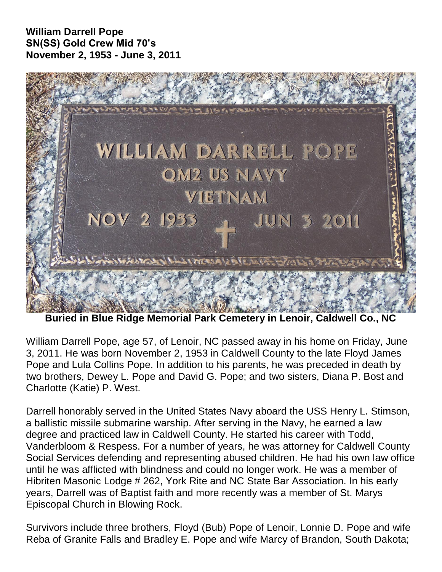## **William Darrell Pope SN(SS) Gold Crew Mid 70's November 2, 1953 - June 3, 2011**



**Buried in Blue Ridge Memorial Park Cemetery in Lenoir, Caldwell Co., NC**

William Darrell Pope, age 57, of Lenoir, NC passed away in his home on Friday, June 3, 2011. He was born November 2, 1953 in Caldwell County to the late Floyd James Pope and Lula Collins Pope. In addition to his parents, he was preceded in death by two brothers, Dewey L. Pope and David G. Pope; and two sisters, Diana P. Bost and Charlotte (Katie) P. West.

Darrell honorably served in the United States Navy aboard the USS Henry L. Stimson, a ballistic missile submarine warship. After serving in the Navy, he earned a law degree and practiced law in Caldwell County. He started his career with Todd, Vanderbloom & Respess. For a number of years, he was attorney for Caldwell County Social Services defending and representing abused children. He had his own law office until he was afflicted with blindness and could no longer work. He was a member of Hibriten Masonic Lodge # 262, York Rite and NC State Bar Association. In his early years, Darrell was of Baptist faith and more recently was a member of St. Marys Episcopal Church in Blowing Rock.

Survivors include three brothers, Floyd (Bub) Pope of Lenoir, Lonnie D. Pope and wife Reba of Granite Falls and Bradley E. Pope and wife Marcy of Brandon, South Dakota;